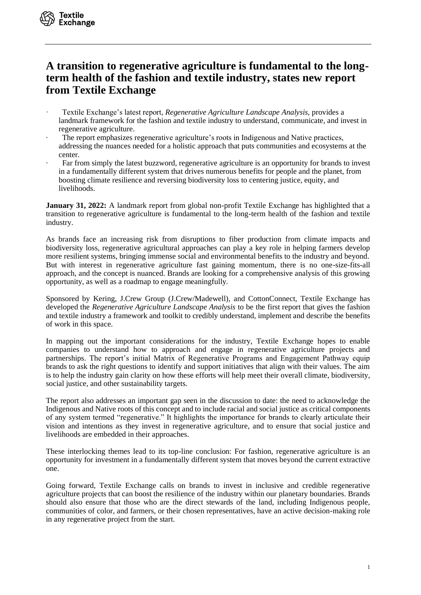## **A transition to regenerative agriculture is fundamental to the longterm health of the fashion and textile industry, states new report from Textile Exchange**

- · Textile Exchange's latest report, *Regenerative Agriculture Landscape Analysis,* provides a landmark framework for the fashion and textile industry to understand, communicate, and invest in regenerative agriculture.
- The report emphasizes regenerative agriculture's roots in Indigenous and Native practices, addressing the nuances needed for a holistic approach that puts communities and ecosystems at the center.
- Far from simply the latest buzzword, regenerative agriculture is an opportunity for brands to invest in a fundamentally different system that drives numerous benefits for people and the planet, from boosting climate resilience and reversing biodiversity loss to centering justice, equity, and livelihoods.

**January 31, 2022:** A landmark report from global non-profit Textile Exchange has highlighted that a transition to regenerative agriculture is fundamental to the long-term health of the fashion and textile industry.

As brands face an increasing risk from disruptions to fiber production from climate impacts and biodiversity loss, regenerative agricultural approaches can play a key role in helping farmers develop more resilient systems, bringing immense social and environmental benefits to the industry and beyond. But with interest in regenerative agriculture fast gaining momentum, there is no one-size-fits-all approach, and the concept is nuanced. Brands are looking for a comprehensive analysis of this growing opportunity, as well as a roadmap to engage meaningfully.

Sponsored by Kering, J.Crew Group (J.Crew/Madewell), and CottonConnect, Textile Exchange has developed the *Regenerative Agriculture Landscape Analysis* to be the first report that gives the fashion and textile industry a framework and toolkit to credibly understand, implement and describe the benefits of work in this space.

In mapping out the important considerations for the industry, Textile Exchange hopes to enable companies to understand how to approach and engage in regenerative agriculture projects and partnerships. The report's initial Matrix of Regenerative Programs and Engagement Pathway equip brands to ask the right questions to identify and support initiatives that align with their values. The aim is to help the industry gain clarity on how these efforts will help meet their overall climate, biodiversity, social justice, and other sustainability targets.

The report also addresses an important gap seen in the discussion to date: the need to acknowledge the Indigenous and Native roots of this concept and to include racial and social justice as critical components of any system termed "regenerative." It highlights the importance for brands to clearly articulate their vision and intentions as they invest in regenerative agriculture, and to ensure that social justice and livelihoods are embedded in their approaches.

These interlocking themes lead to its top-line conclusion: For fashion, regenerative agriculture is an opportunity for investment in a fundamentally different system that moves beyond the current extractive one.

Going forward, Textile Exchange calls on brands to invest in inclusive and credible regenerative agriculture projects that can boost the resilience of the industry within our planetary boundaries. Brands should also ensure that those who are the direct stewards of the land, including Indigenous people, communities of color, and farmers, or their chosen representatives, have an active decision-making role in any regenerative project from the start.